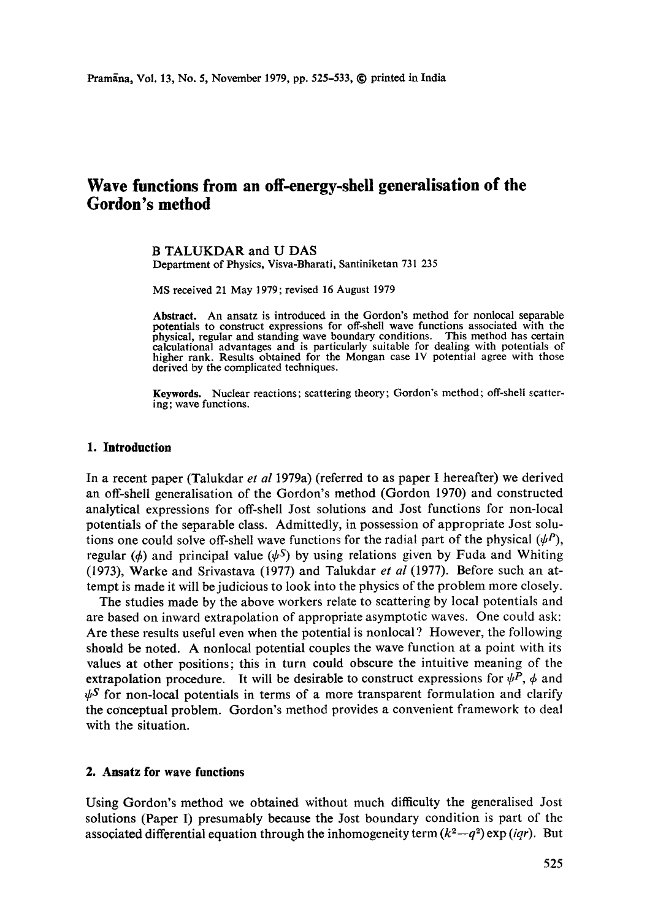# **Wave functions from an off-energy-shell generalisation of the Gordon's method**

B TALUKDAR and U DAS Department of Physics, Visva-Bharati, Santiniketan 731 235

MS received 21 May 1979; revised 16 August 1979

**Abstract.** An ansatz is introduced in the Gordon's method for nonlocal separable potentials to construct expressions for off-shell wave functions associated with the physical, regular and standing wave boundary conditions. This method has certain calculational advantages and is particularly suitable for dealing with potentials of higher rank. Results obtained for the Mongan case 1V potential agree with those derived by the complicated techniques.

**Keywords.** Nuclear reactions; scattering theory; Gordon's method; off-shell scattering; wave functions.

## **1. Introduction**

In a recent paper (Talukdar *et al* 1979a) (referred to as paper I hereafter) we derived an off-shell generalisation of the Gordon's method (Gordon 1970) and constructed analytical expressions for off-shell Jost solutions and Jost functions for non-local potentials of the separable class. Admittedly, in possession of appropriate Jost solutions one could solve off-shell wave functions for the radial part of the physical  $(\psi P)$ , regular ( $\phi$ ) and principal value ( $\psi$ S) by using relations given by Fuda and Whiting (1973), Warke and Srivastava (1977) and Talukdar *et al* (1977). Before such an attempt is made it will be judicious to look into the physics of the problem more closely.

The studies made by the above workers relate to scattering by local potentials and are based on inward extrapolation of appropriate asymptotic waves. One could ask: Are these results useful even when the potential is nonlocal ? However, the following should be noted. A nonlocal potential couples the wave function at a point with its values at other positions; this in turn could obscure the intuitive meaning of the extrapolation procedure. It will be desirable to construct expressions for  $\psi^P$ ,  $\phi$  and  $\psi^S$  for non-local potentials in terms of a more transparent formulation and clarify the conceptual problem. Gordon's method provides a convenient framework to deal with the situation.

# **2. Ansatz for wave functions**

Using Gordon's method we obtained without much difficulty the generalised Jost solutions (Paper I) presumably because the Jost boundary condition is part of the associated differential equation through the inhomogeneity term  $(k^2-q^2)$  exp *(iqr)*. But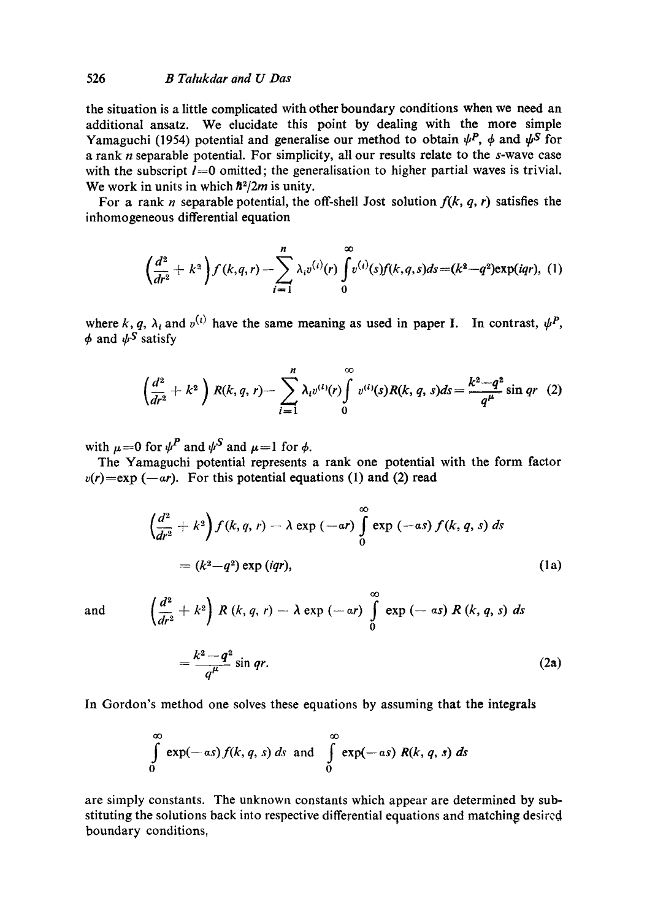the situation is a little complicated with other boundary conditions when we need an additional ansatz. We elucidate this point by dealing with the more simple Yamaguchi (1954) potential and generalise our method to obtain  $\psi^P$ ,  $\phi$  and  $\psi^S$  for a rank n separable potential. For simplicity, all our results relate to the s-wave case with the subscript  $l=0$  omitted; the generalisation to higher partial waves is trivial. We work in units in which  $\hbar^2/2m$  is unity.

For a rank *n* separable potential, the off-shell Jost solution  $f(k, q, r)$  satisfies the inhomogeneous differential equation

$$
\left(\frac{d^2}{dr^2}+k^2\right)f(k,q,r)-\sum_{i=1}^n\lambda_i v^{(i)}(r)\int_0^\infty v^{(i)}(s)f(k,q,s)ds=(k^2-q^2)\exp(iqr), (1)
$$

where k, q,  $\lambda_i$  and  $v^{(i)}$  have the same meaning as used in paper I. In contrast,  $\psi^P$ ,  $\phi$  and  $\psi^S$  satisfy

$$
\left(\frac{d^2}{dr^2}+k^2\right)R(k,q,r)-\sum_{i=1}^n\lambda_iv^{(i)}(r)\int\limits_0^\infty v^{(i)}(s)R(k,q,s)ds=\frac{k^2-q^2}{q^{\mu}}\sin qr\ (2)
$$

with  $\mu=0$  for  $\psi^P$  and  $\psi^S$  and  $\mu=1$  for  $\phi$ .

The Yamaguchi potential represents a rank one potential with the form factor  $v(r) = exp(-ar)$ . For this potential equations (1) and (2) read

$$
\left(\frac{d^2}{dr^2} + k^2\right) f(k, q, r) - \lambda \exp\left(-ar\right) \int_0^\infty \exp\left(-as\right) f(k, q, s) ds
$$

$$
= (k^2 - q^2) \exp\left(iqr\right), \tag{1a}
$$

and

$$
\left(\frac{a}{dr^2}+k^2\right) R\left(k,q,r\right)-\lambda \exp\left(-ar\right) \int\limits_{0}^{\infty} \exp\left(-as\right) R\left(k,q,s\right) ds
$$

$$
=\frac{k^2-q^2}{q^{\mu}}\sin qr.
$$
 (2a)

*0(3* 

In Gordon's method one solves these equations by assuming that the integrals

$$
\int_{0}^{\infty} \exp(-as) f(k, q, s) ds \text{ and } \int_{0}^{\infty} \exp(-as) R(k, q, s) ds
$$

are simply constants. The unknown constants which appear are determined by substituting the solutions back into respective differential equations and matching desired boundary conditions,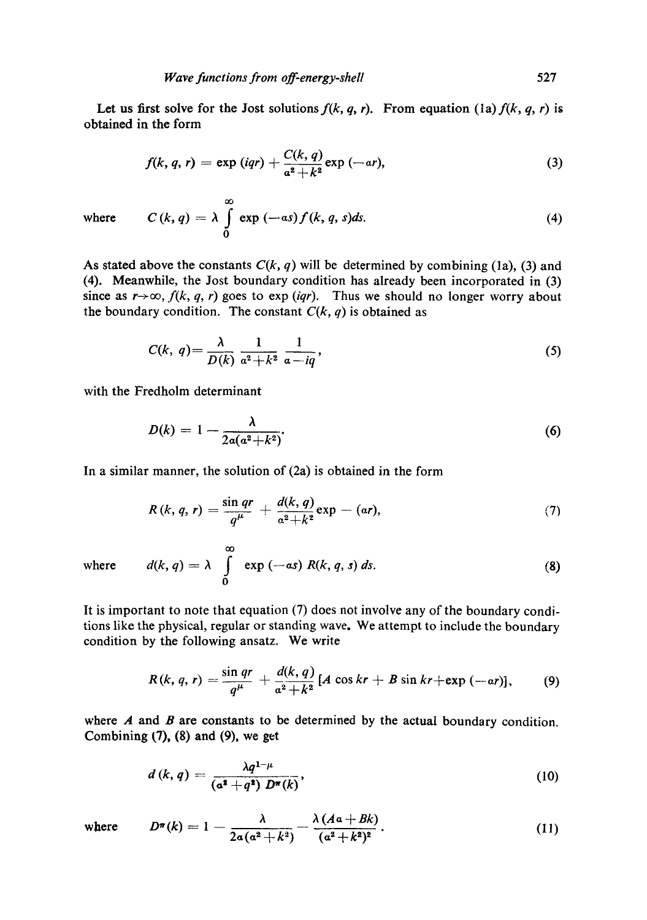oO

Let us first solve for the Jost solutions  $f(k, q, r)$ . From equation *(la)*  $f(k, q, r)$  is obtained in the form

$$
f(k, q, r) = \exp(iqr) + \frac{C(k, q)}{a^2 + k^2} \exp(-ar),
$$
 (3)

where  $C(k, q) = \lambda + \exp(-as) f(k, q, s) ds.$  (4) **o** 

As stated above the constants  $C(k, q)$  will be determined by combining (1a), (3) and (4). Meanwhile, the Jost boundary condition has already been incorporated in (3) since as  $r\rightarrow\infty$ ,  $f(k, q, r)$  goes to exp *(iqr)*. Thus we should no longer worry about the boundary condition. The constant  $C(k, q)$  is obtained as

$$
C(k, q) = \frac{\lambda}{D(k)} \frac{1}{a^2 + k^2} \frac{1}{a - iq},
$$
\n<sup>(5)</sup>

with the Fredholm determinant

$$
D(k) = 1 - \frac{\lambda}{2a(a^2 + k^2)}.\tag{6}
$$

In a similar manner, the solution of (2a) is obtained in the form

$$
R(k, q, r) = \frac{\sin qr}{q^{\mu}} + \frac{d(k, q)}{a^2 + k^2} \exp - (\alpha r), \qquad (7)
$$

where 
$$
d(k, q) = \lambda \int_{0}^{\infty} \exp(-as) R(k, q, s) ds.
$$
 (8)

It is important to note that equation (7) does not involve any of the boundary conditions like the physical, regular or standing wave. We attempt to include the boundary condition by the following ansatz. We write

$$
R(k, q, r) = \frac{\sin qr}{q^{\mu}} + \frac{d(k, q)}{a^2 + k^2} [A \cos kr + B \sin kr + \exp (-ar)], \qquad (9)
$$

where  $A$  and  $B$  are constants to be determined by the actual boundary condition. Combining  $(7)$ ,  $(8)$  and  $(9)$ , we get

$$
d(k,q) = \frac{\lambda q^{1-\mu}}{\left(\mathfrak{a}^2 + q^2\right) D^{\pi}(k)},\tag{10}
$$

where  $D^{\pi}(k) = 1 - \frac{\lambda}{2a(a^2 + k^2)} - \frac{\lambda (Aa + Bk)}{(a^2 + k^2)^2}$ . (11)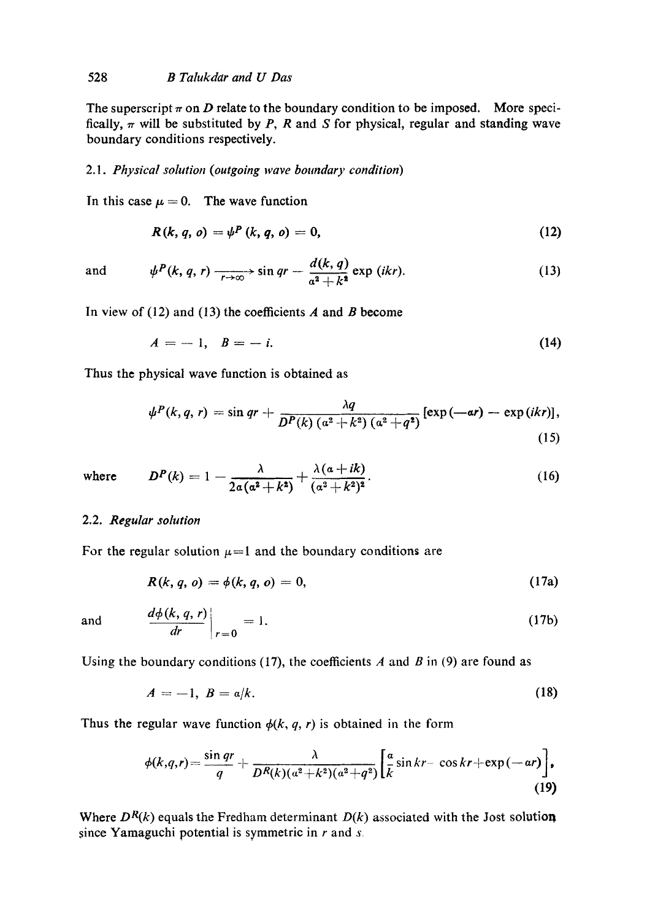The superscript  $\pi$  on D relate to the boundary condition to be imposed. More specifically,  $\pi$  will be substituted by P, R and S for physical, regular and standing wave boundary conditions respectively.

## *2.1. Physical solution (outgoing wave boundary condition)*

In this case  $\mu = 0$ . The wave function

$$
R(k, q, o) = \psi^P(k, q, o) = 0,
$$
\n(12)

and 
$$
\psi^P(k, q, r) \xrightarrow[r \to \infty]{} \sin qr - \frac{d(k, q)}{a^2 + k^2} \exp (ikr).
$$
 (13)

In view of  $(12)$  and  $(13)$  the coefficients A and B become

$$
A = -1, \quad B = -i. \tag{14}
$$

Thus the physical wave function is obtained as

$$
\psi^P(k,q,r)=\sin qr +\frac{\lambda q}{D^P(k)\left(\alpha^2+k^2\right)\left(\alpha^2+q^2\right)}\left[\exp\left(-ar\right)-\exp\left(ikr\right)\right],\tag{15}
$$

where 
$$
D^{P}(k) = 1 - \frac{\lambda}{2\alpha(\alpha^{2} + k^{2})} + \frac{\lambda(\alpha + ik)}{(\alpha^{2} + k^{2})^{2}}.
$$
 (16)

## 2.2. *Regular solution*

For the regular solution  $\mu=1$  and the boundary conditions are

$$
R(k, q, o) = \phi(k, q, o) = 0,
$$
 (17a)

and 
$$
\frac{d\phi(k,q,r)}{dr}\bigg|_{r=0} = 1.
$$
 (17b)

Using the boundary conditions (17), the coefficients A and B in (9) are found as

$$
A=-1, B=a/k. \tag{18}
$$

Thus the regular wave function  $\phi(k, q, r)$  is obtained in the form

$$
\phi(k,q,r)=\frac{\sin qr}{q}+\frac{\lambda}{D^R(k)(a^2+k^2)(a^2+q^2)}\bigg[\frac{a}{k}\sin kr-\cos kr+\exp(-ar)\bigg],\qquad(19)
$$

Where  $D^R(k)$  equals the Fredham determinant  $D(k)$  associated with the Jost solution since Yamaguchi potential is symmetric in r and *s*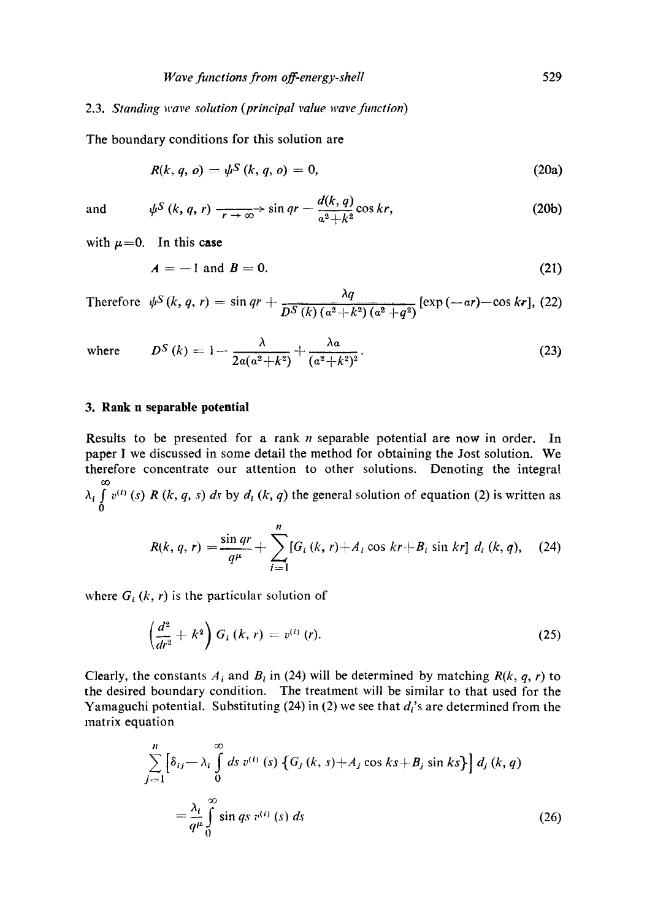#### 2.3. *Standing wave sohttion (principal value wave fimction)*

The boundary conditions for this solution are

$$
R(k, q, o) = \psi^S(k, q, o) = 0, \qquad (20a)
$$

and 
$$
\psi^S(k, q, r) \xrightarrow[r \to \infty]{} \sin qr - \frac{d(k, q)}{a^2 + k^2} \cos kr,
$$
 (20b)

with  $\mu=0$ . In this case

$$
A = -1 \text{ and } B = 0. \tag{21}
$$

Therefore  $\psi^S(k, q, r) = \sin qr + \frac{q}{DS(k) (q^2 + k^2) (q^2 + q^2)} [\exp(-ar) - \cos kr], (22)$ 

where 
$$
D^S(k) = 1 - \frac{\lambda}{2a(a^2 + k^2)} + \frac{\lambda a}{(a^2 + k^2)^2}
$$
. (23)

#### **3. Rank n separable potential**

Results to be presented for a rank  $n$  separable potential are now in order. In paper I we discussed in some detail the method for obtaining the Jost solution. We therefore concentrate our attention to other solutions. Denoting the integral co  $\lambda_i$   $\int v^{(i)}(s) R(k, q, s) ds$  by  $d_i (k, q)$  the general solution of equation (2) is written as 0

$$
R(k, q, r) = \frac{\sin qr}{q^{\mu}} + \sum_{i=1}^{n} [G_i(k, r) + A_i \cos kr + B_i \sin kr] d_i(k, q), \quad (24)
$$

where  $G_i$  (k, r) is the particular solution of

$$
\left(\frac{d^2}{dr^2}+k^2\right)G_i\left(k,r\right)=v^{(i)}\left(r\right).
$$
\n(25)

Clearly, the constants  $A_i$  and  $B_i$  in (24) will be determined by matching  $R(k, q, r)$  to the desired boundary condition. The treatment will be similar to that used for the Yamaguchi potential. Substituting (24) in (2) we see that  $d_i$ 's are determined from the matrix equation

$$
\sum_{j=1}^{n} \left[ \delta_{ij} - \lambda_i \int_0^{\infty} ds \, v^{(i)}(s) \left\{ G_j(k, s) + A_j \cos ks + B_j \sin ks \right\} \right] d_j(k, q)
$$
\n
$$
= \frac{\lambda_i}{q^{\mu}} \int_0^{\infty} \sin qs \, v^{(i)}(s) \, ds \tag{26}
$$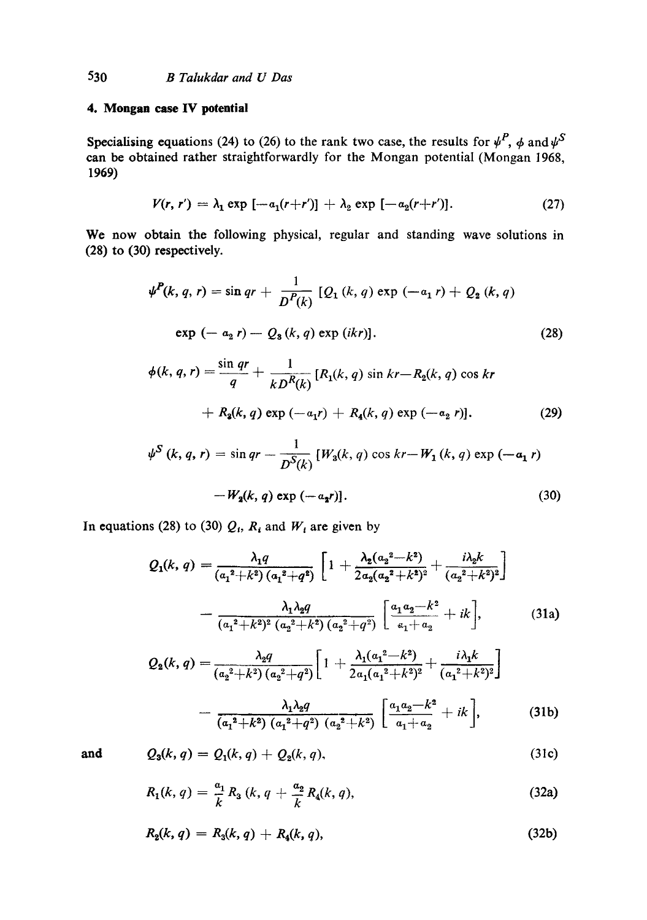# **4. Mongan case IV potential**

Specialising equations (24) to (26) to the rank two case, the results for  $\psi^P$ ,  $\phi$  and  $\psi^S$ can be obtained rather straightforwardly for the Mongan potential (Mongan 1968, 1969)

$$
V(r, r') = \lambda_1 \exp \left[ -a_1(r+r') \right] + \lambda_2 \exp \left[ -a_2(r+r') \right]. \tag{27}
$$

We now obtain the following physical, regular and standing wave solutions in (28) to (30) respectively.

$$
\psi^{P}(k, q, r) = \sin qr + \frac{1}{D^{P}(k)} [Q_{1}(k, q) \exp (-a_{1} r) + Q_{2}(k, q)]
$$
  
exp (-a<sub>2</sub> r) - Q<sub>3</sub>(k, q) exp (ikr)]. (28)

$$
\phi(k, q, r) = \frac{\sin qr}{q} + \frac{1}{kD^R(k)} [R_1(k, q) \sin kr - R_2(k, q) \cos kr + R_3(k, q) \exp (-a_1r) + R_4(k, q) \exp (-a_2 r)].
$$
\n(29)

$$
\psi^S(k, q, r) = \sin qr - \frac{1}{D^S(k)} [W_3(k, q) \cos kr - W_1(k, q) \exp(-a_1 r)
$$

$$
-W_2(k, q) \exp(-a_2 r)].
$$
\n(30)

In equations (28) to (30)  $Q_i$ ,  $R_i$  and  $W_i$  are given by

$$
Q_1(k, q) = \frac{\lambda_1 q}{(a_1^2 + k^2) (a_1^2 + q^2)} \left[ 1 + \frac{\lambda_2 (a_2^2 - k^2)}{2 a_2 (a_2^2 + k^2)^2} + \frac{i \lambda_2 k}{(a_2^2 + k^2)^2} \right]
$$

$$
- \frac{\lambda_1 \lambda_2 q}{(a_1^2 + k^2)^2 (a_2^2 + k^2) (a_2^2 + q^2)} \left[ \frac{a_1 a_2 - k^2}{a_1 + a_2} + ik \right], \tag{31a}
$$

$$
Q_2(k,q) = \frac{\lambda_2 q}{(a_2^2 + k^2)(a_2^2 + q^2)} \left[ 1 + \frac{\lambda_1 (a_1^2 - k^2)}{2a_1(a_1^2 + k^2)^2} + \frac{i\lambda_1 k}{(a_1^2 + k^2)^2} \right]
$$

$$
- \frac{\lambda_1 \lambda_2 q}{(a_1^2 + k^2)(a_1^2 + q^2)(a_2^2 + k^2)} \left[ \frac{a_1 a_2 - k^2}{a_1 + a_2} + ik \right],
$$
(31b)

and

$$
Q_3(k, q) = Q_1(k, q) + Q_2(k, q), \qquad (31c)
$$

$$
R_1(k, q) = \frac{a_1}{k} R_3 (k, q + \frac{a_2}{k} R_4(k, q), \qquad (32a)
$$

$$
R_2(k, q) = R_3(k, q) + R_4(k, q), \qquad (32b)
$$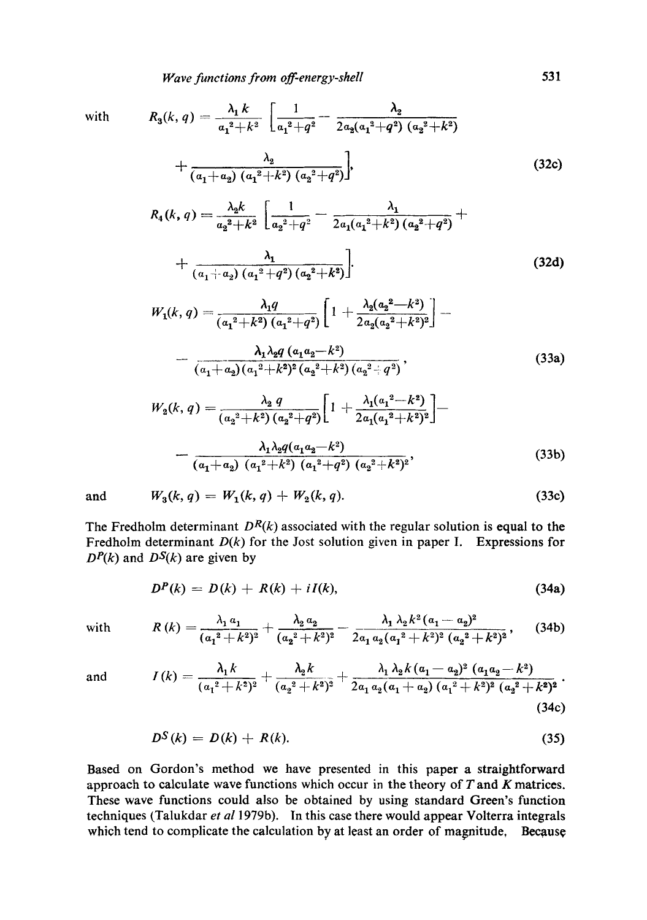with 
$$
R_3(k, q) = \frac{\lambda_1 k}{a_1^2 + k^2} \left[ \frac{1}{a_1^2 + q^2} - \frac{\lambda_2}{2a_2(a_1^2 + q^2)(a_2^2 + k^2)} + \frac{\lambda_2}{(a_1 + a_2)(a_1^2 + k^2)(a_2^2 + q^2)} \right],
$$
 (32c)

$$
R_4(k, q) = \frac{\lambda_2 k}{a_2^2 + k^2} \left[ \frac{1}{a_2^2 + q^2} - \frac{\lambda_1}{2a_1(a_1^2 + k^2)(a_2^2 + q^2)} + \frac{\lambda_1}{(a_1 + a_2)(a_1^2 + q^2)(a_2^2 + k^2)} \right].
$$
\n(32d)

$$
W_1(k,q) = \frac{\lambda_1 q}{(a_1^2 + k^2) (a_1^2 + q^2)} \left[ 1 + \frac{\lambda_2 (a_2^2 - k^2)}{2 a_2 (a_2^2 + k^2)^2} \right] - \frac{\lambda_1 \lambda_2 q (a_1 a_2 - k^2)}{(a_1 + a_2) (a_1^2 + k^2)^2 (a_2^2 + k^2) (a_2^2 + q^2)},
$$
\n(33a)

$$
W_2(k,q) = \frac{\lambda_2 q}{(a_2^2 + k^2)(a_2^2 + q^2)} \left[ 1 + \frac{\lambda_1 (a_1^2 - k^2)}{2a_1(a_1^2 + k^2)^2} \right] - \frac{\lambda_1 \lambda_2 q(a_1 a_2 - k^2)}{(a_1 + a_2)(a_1^2 + k^2)(a_1^2 + q^2)(a_2^2 + k^2)^2},
$$
\n(33b)

and 
$$
W_3(k, q) = W_1(k, q) + W_2(k, q).
$$
 (33c)

The Fredholm determinant  $D<sup>R</sup>(k)$  associated with the regular solution is equal to the Fredholm determinant *D(k)* for the Jost solution given in paper I. Expressions for  $D<sup>P</sup>(k)$  and  $D<sup>S</sup>(k)$  are given by

$$
D^{P}(k) = D(k) + R(k) + iI(k),
$$
\n(34a)

with 
$$
R(k) = \frac{\lambda_1 a_1}{(a_1^2 + k^2)^2} + \frac{\lambda_2 a_2}{(a_2^2 + k^2)^2} - \frac{\lambda_1 \lambda_2 k^2 (a_1 - a_2)^2}{2a_1 a_2 (a_1^2 + k^2)^2 (a_2^2 + k^2)^2},
$$
 (34b)

and 
$$
I(k) = \frac{\lambda_1 k}{(a_1^2 + k^2)^2} + \frac{\lambda_2 k}{(a_2^2 + k^2)^2} + \frac{\lambda_1 \lambda_2 k (a_1 - a_2)^2 (a_1 a_2 - k^2)}{2a_1 a_2 (a_1 + a_2) (a_1^2 + k^2)^2 (a_2^2 + k^2)^2}.
$$
\n(34c)

$$
D^S(k) = D(k) + R(k). \tag{35}
$$

Based on Gordon's method we have presented in this paper a straightforward approach to calculate wave functions which occur in the theory of  $T$  and  $K$  matrices. These wave functions could also be obtained by using standard Green's function techniques (Talukdar *et a11979b).* In this ease there would appear Volterra integrals which tend to complicate the calculation by at least an order of magnitude, Because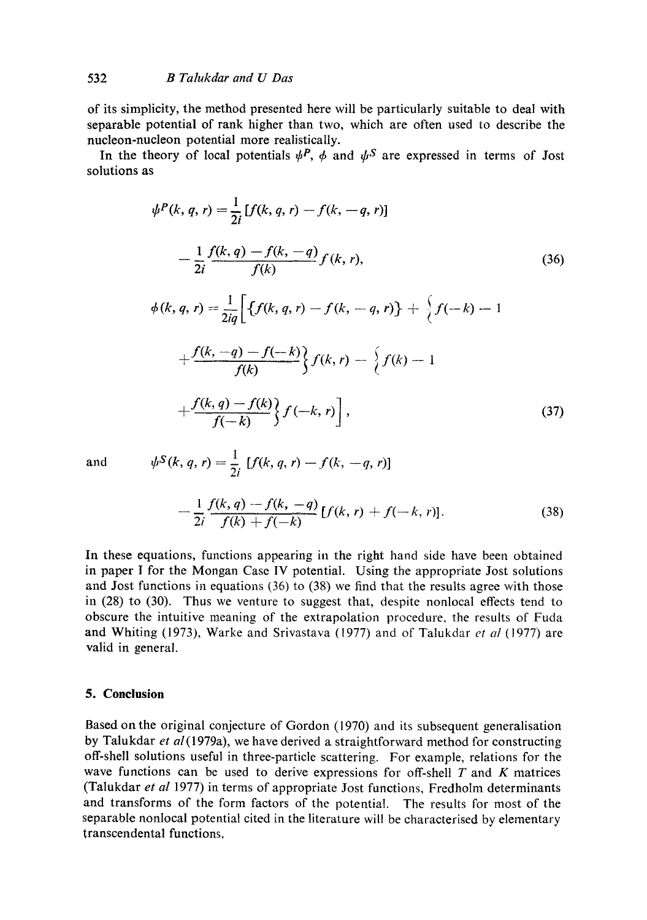of its simplicity, the method presented here will be particularly suitable to deal with separable potential of rank higher than two, which are often used to describe the nucleon-nucleon potential more realistically.

In the theory of local potentials  $\psi^P$ ,  $\phi$  and  $\psi^S$  are expressed in terms of Jost solutions as

$$
\psi^{P}(k, q, r) = \frac{1}{2i} [f(k, q, r) - f(k, -q, r)]
$$
  
\n
$$
-\frac{1}{2i} \frac{f(k, q) - f(k, -q)}{f(k)} f(k, r),
$$
  
\n
$$
\phi(k, q, r) = \frac{1}{2iq} \Big[ \{f(k, q, r) - f(k, -q, r)\} + \{f(-k) - 1
$$
  
\n
$$
+\frac{f(k, -q) - f(-k)}{f(k)} \} f(k, r) - \{f(k) - 1
$$
  
\n
$$
+\frac{f(k, q) - f(k)}{f(-k)} \} f(-k, r) \Big],
$$
\n(37)

and 
$$
\psi^S(k, q, r) = \frac{1}{2i} [f(k, q, r) - f(k, -q, r)]
$$

 $\overline{a}$ 

$$
-\frac{1}{2i}\frac{f(k,q)-f(k,-q)}{f(k)+f(-k)}[f(k,r)+f(-k,r)].
$$
\n(38)

In these equations, functions appearing in the right hand side have been obtained in paper 1 for the Mongan Case IV potential. Using the appropriate Jost solutions and Jost functions in equations (36) to (38) we find that the results agree with those in (28) to (30). Thus we venture to suggest that, despite nonlocal effects tend to obscure the intuitive meaning of the extrapolation procedure, the results of Fuda and Whiting (1973), Warke and Srivastava (1977) and of Talukdar *et al* (1977) are valid in general.

#### **5. Conclusion**

Based on the original conjecture of Gordon (1970) and its subsequent generalisation by Talukdar *et* al(1979a), we have derived a straightforward method for constructing off-shell solutions useful in three-particle scattering. For example, relations for the wave functions can be used to derive expressions for off-shell  $T$  and  $K$  matrices (Talukdar *et al* 1977) in terms of appropriate Jost functions, Fredholm determinants and transforms of the form factors of the potential. The results for most of the separable nonlocal potential cited in the literature will be characterised by elementary transcendental functions.